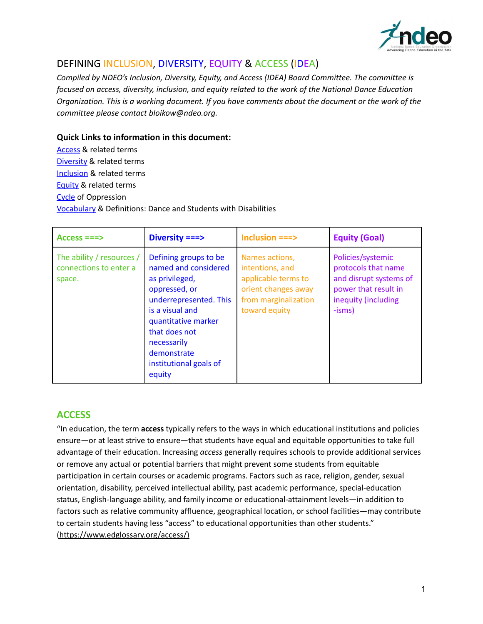

# DEFINING INCLUSION, DIVERSITY, EQUITY & ACCESS (IDEA)

*Compiled by NDEO's Inclusion, Diversity, Equity, and Access (IDEA) Board Committee. The committee is focused on access, diversity, inclusion, and equity related to the work of the National Dance Education* Organization. This is a working document. If you have comments about the document or the work of the *committee please contact bloikow@ndeo.org.*

#### **Quick Links to information in this document:**

[Access](#page-0-0) & related terms [Diversity](#page-1-0) & related terms [Inclusion](#page-4-0) & related terms [Equity](#page-6-0) & related terms [Cycle](#page-7-0) of Oppression [Vocabulary](#page-8-0) & Definitions: Dance and Students with Disabilities

| $Access == >$                                                 | Diversity ===>                                                                                                                                                                                                                          | Inclusion ===>                                                                                                           | <b>Equity (Goal)</b>                                                                                                          |
|---------------------------------------------------------------|-----------------------------------------------------------------------------------------------------------------------------------------------------------------------------------------------------------------------------------------|--------------------------------------------------------------------------------------------------------------------------|-------------------------------------------------------------------------------------------------------------------------------|
| The ability / resources /<br>connections to enter a<br>space. | Defining groups to be<br>named and considered<br>as privileged,<br>oppressed, or<br>underrepresented. This<br>is a visual and<br>quantitative marker<br>that does not<br>necessarily<br>demonstrate<br>institutional goals of<br>equity | Names actions,<br>intentions, and<br>applicable terms to<br>orient changes away<br>from marginalization<br>toward equity | Policies/systemic<br>protocols that name<br>and disrupt systems of<br>power that result in<br>inequity (including<br>$-isms)$ |

## <span id="page-0-0"></span>**ACCESS**

"In education, the term **access** typically refers to the ways in which educational institutions and policies ensure—or at least strive to ensure—that students have equal and equitable opportunities to take full advantage of their education. Increasing *access* generally requires schools to provide additional services or remove any actual or potential barriers that might prevent some students from equitable participation in certain courses or academic programs. Factors such as race, religion, gender, sexual orientation, disability, perceived intellectual ability, past academic performance, special-education status, English-language ability, and family income or educational-attainment levels—in addition to factors such as relative community affluence, geographical location, or school facilities—may contribute to certain students having less "access" to educational opportunities than other students." [\(https://www.edglossary.org/access/\)](https://www.edglossary.org/access/)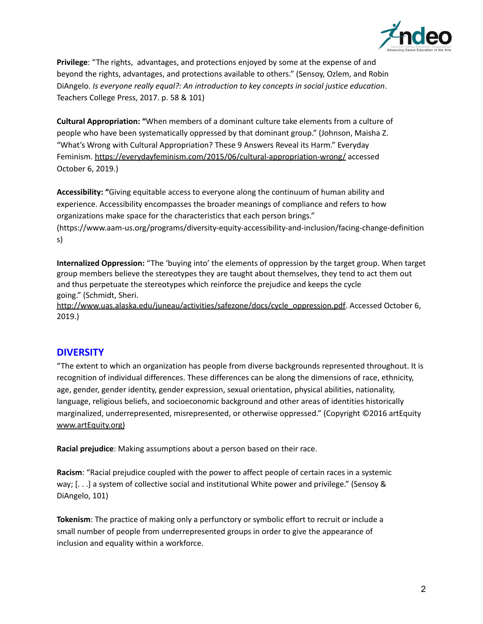

**Privilege**: "The rights, advantages, and protections enjoyed by some at the expense of and beyond the rights, advantages, and protections available to others." (Sensoy, Ozlem, and Robin DiAngelo. *Is everyone really equal?: An introduction to key concepts in social justice education*. Teachers College Press, 2017. p. 58 & 101)

**Cultural Appropriation: "**When members of a dominant culture take elements from a culture of people who have been systematically oppressed by that dominant group." (Johnson, Maisha Z. "What's Wrong with Cultural Appropriation? These 9 Answers Reveal its Harm." Everyday Feminism. <https://everydayfeminism.com/2015/06/cultural-appropriation-wrong/> accessed October 6, 2019.)

**Accessibility: "**Giving equitable access to everyone along the continuum of human ability and experience. Accessibility encompasses the broader meanings of compliance and refers to how organizations make space for the characteristics that each person brings."

(https://www.aam-us.org/programs/diversity-equity-accessibility-and-inclusion/facing-change-definition s)

**Internalized Oppression:** "The 'buying into' the elements of oppression by the target group. When target group members believe the stereotypes they are taught about themselves, they tend to act them out and thus perpetuate the stereotypes which reinforce the prejudice and keeps the cycle going." (Schmidt, Sheri.

[http://www.uas.alaska.edu/juneau/activities/safezone/docs/cycle\\_oppression.pdf](http://www.uas.alaska.edu/juneau/activities/safezone/docs/cycle_oppression.pdf). Accessed October 6, 2019.)

## <span id="page-1-0"></span>**DIVERSITY**

"The extent to which an organization has people from diverse backgrounds represented throughout. It is recognition of individual differences. These differences can be along the dimensions of race, ethnicity, age, gender, gender identity, gender expression, sexual orientation, physical abilities, nationality, language, religious beliefs, and socioeconomic background and other areas of identities historically marginalized, underrepresented, misrepresented, or otherwise oppressed." (Copyright ©2016 artEquity [www.artEquity.org](http://www.artequity.org))

**Racial prejudice**: Making assumptions about a person based on their race.

**Racism**: "Racial prejudice coupled with the power to affect people of certain races in a systemic way; [. . .] a system of collective social and institutional White power and privilege." (Sensoy & DiAngelo, 101)

**Tokenism**: The practice of making only a perfunctory or symbolic effort to recruit or include a small number of people from underrepresented groups in order to give the appearance of inclusion and equality within a workforce.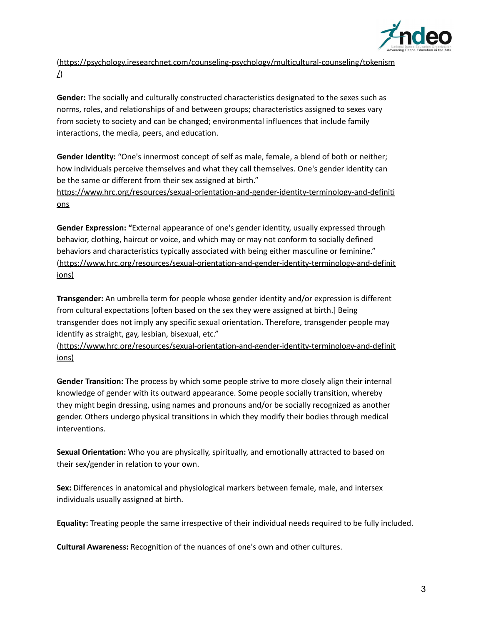

[\(https://psychology.iresearchnet.com/counseling-psychology/multicultural-counseling/tokenism](https://psychology.iresearchnet.com/counseling-psychology/multicultural-counseling/tokenism/) [/](https://psychology.iresearchnet.com/counseling-psychology/multicultural-counseling/tokenism/))

**Gender:** The socially and culturally constructed characteristics designated to the sexes such as norms, roles, and relationships of and between groups; characteristics assigned to sexes vary from society to society and can be changed; environmental influences that include family interactions, the media, peers, and education.

**Gender Identity:** "One's innermost concept of self as male, female, a blend of both or neither; how individuals perceive themselves and what they call themselves. One's gender identity can be the same or different from their sex assigned at birth."

[https://www.hrc.org/resources/sexual-orientation-and-gender-identity-terminology-and-definiti](https://www.hrc.org/resources/sexual-orientation-and-gender-identity-terminology-and-definitions) [ons](https://www.hrc.org/resources/sexual-orientation-and-gender-identity-terminology-and-definitions)

**Gender Expression: "**External appearance of one's gender identity, usually expressed through behavior, clothing, haircut or voice, and which may or may not conform to socially defined behaviors and characteristics typically associated with being either masculine or feminine." [\(https://www.hrc.org/resources/sexual-orientation-and-gender-identity-terminology-and-definit](https://www.hrc.org/resources/sexual-orientation-and-gender-identity-terminology-and-definitions) [ions](https://www.hrc.org/resources/sexual-orientation-and-gender-identity-terminology-and-definitions))

**Transgender:** An umbrella term for people whose gender identity and/or expression is different from cultural expectations [often based on the sex they were assigned at birth.] Being transgender does not imply any specific sexual orientation. Therefore, transgender people may identify as straight, gay, lesbian, bisexual, etc."

[\(https://www.hrc.org/resources/sexual-orientation-and-gender-identity-terminology-and-definit](https://www.hrc.org/resources/sexual-orientation-and-gender-identity-terminology-and-definitions) [ions](https://www.hrc.org/resources/sexual-orientation-and-gender-identity-terminology-and-definitions))

**Gender Transition:** The process by which some people strive to more closely align their internal knowledge of gender with its outward appearance. Some people socially transition, whereby they might begin dressing, using names and pronouns and/or be socially recognized as another gender. Others undergo physical transitions in which they modify their bodies through medical interventions.

**Sexual Orientation:** Who you are physically, spiritually, and emotionally attracted to based on their sex/gender in relation to your own.

**Sex:** Differences in anatomical and physiological markers between female, male, and intersex individuals usually assigned at birth.

**Equality:** Treating people the same irrespective of their individual needs required to be fully included.

**Cultural Awareness:** Recognition of the nuances of one's own and other cultures.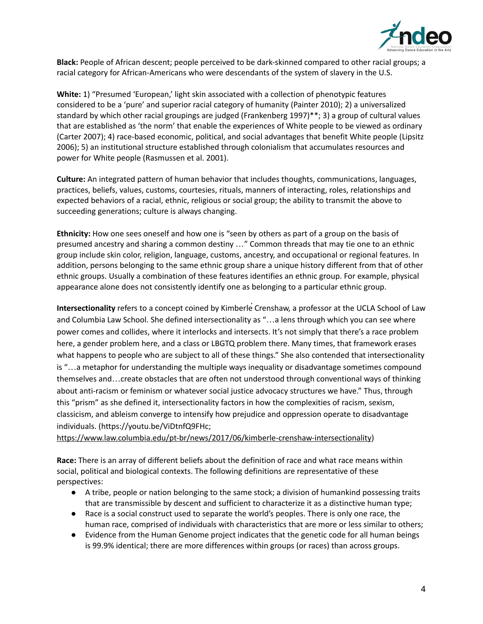

**Black:** People of African descent; people perceived to be dark-skinned compared to other racial groups; a racial category for African-Americans who were descendants of the system of slavery in the U.S.

**White:** 1) "Presumed 'European,' light skin associated with a collection of phenotypic features considered to be a 'pure' and superior racial category of humanity (Painter 2010); 2) a universalized standard by which other racial groupings are judged (Frankenberg 1997)\*\*; 3) a group of cultural values that are established as 'the norm' that enable the experiences of White people to be viewed as ordinary (Carter 2007); 4) race-based economic, political, and social advantages that benefit White people (Lipsitz 2006); 5) an institutional structure established through colonialism that accumulates resources and power for White people (Rasmussen et al. 2001).

**Culture:** An integrated pattern of human behavior that includes thoughts, communications, languages, practices, beliefs, values, customs, courtesies, rituals, manners of interacting, roles, relationships and expected behaviors of a racial, ethnic, religious or social group; the ability to transmit the above to succeeding generations; culture is always changing.

**Ethnicity:** How one sees oneself and how one is "seen by others as part of a group on the basis of presumed ancestry and sharing a common destiny …" Common threads that may tie one to an ethnic group include skin color, religion, language, customs, ancestry, and occupational or regional features. In addition, persons belonging to the same ethnic group share a unique history different from that of other ethnic groups. Usually a combination of these features identifies an ethnic group. For example, physical appearance alone does not consistently identify one as belonging to a particular ethnic group.

**Intersectionality** refers to a concept coined by KimberléCrenshaw, a professor at the UCLA School of Law and Columbia Law School. She defined intersectionality as "…a lens through which you can see where power comes and collides, where it interlocks and intersects. It's not simply that there's a race problem here, a gender problem here, and a class or LBGTQ problem there. Many times, that framework erases what happens to people who are subject to all of these things." She also contended that intersectionality is "…a metaphor for understanding the multiple ways inequality or disadvantage sometimes compound themselves and…create obstacles that are often not understood through conventional ways of thinking about anti-racism or feminism or whatever social justice advocacy structures we have." Thus, through this "prism" as she defined it, intersectionality factors in how the complexities of racism, sexism, classicism, and ableism converge to intensify how prejudice and oppression operate to disadvantage individuals. (https://youtu.be/ViDtnfQ9FHc;

<https://www.law.columbia.edu/pt-br/news/2017/06/kimberle-crenshaw-intersectionality>)

**Race:** There is an array of different beliefs about the definition of race and what race means within social, political and biological contexts. The following definitions are representative of these perspectives:

- A tribe, people or nation belonging to the same stock; a division of humankind possessing traits that are transmissible by descent and sufficient to characterize it as a distinctive human type;
- Race is a social construct used to separate the world's peoples. There is only one race, the human race, comprised of individuals with characteristics that are more or less similar to others;
- Evidence from the Human Genome project indicates that the genetic code for all human beings is 99.9% identical; there are more differences within groups (or races) than across groups.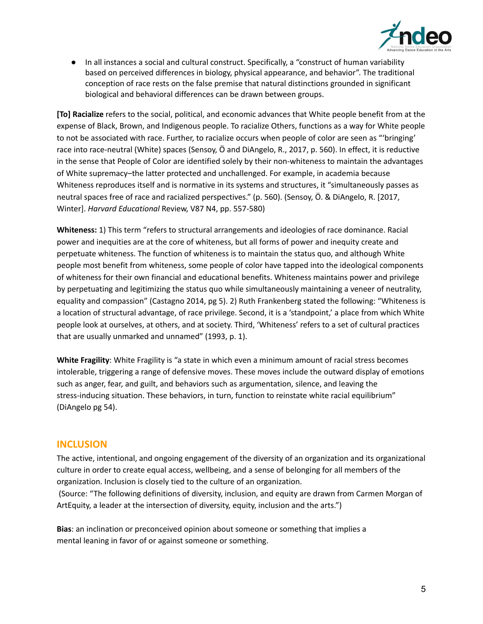

● In all instances a social and cultural construct. Specifically, a "construct of human variability based on perceived differences in biology, physical appearance, and behavior". The traditional conception of race rests on the false premise that natural distinctions grounded in significant biological and behavioral differences can be drawn between groups.

**[To] Racialize** refers to the social, political, and economic advances that White people benefit from at the expense of Black, Brown, and Indigenous people. To racialize Others, functions as a way for White people to not be associated with race. Further, to racialize occurs when people of color are seen as "'bringing' race into race-neutral (White) spaces (Sensoy, Ö and DiAngelo, R., 2017, p. 560). In effect, it is reductive in the sense that People of Color are identified solely by their non-whiteness to maintain the advantages of White supremacy–the latter protected and unchallenged. For example, in academia because Whiteness reproduces itself and is normative in its systems and structures, it "simultaneously passes as neutral spaces free of race and racialized perspectives." (p. 560). (Sensoy, Ö. & DiAngelo, R. [2017, Winter]. *Harvard Educational* Review, V87 N4, pp. 557-580)

**Whiteness:** 1) This term "refers to structural arrangements and ideologies of race dominance. Racial power and inequities are at the core of whiteness, but all forms of power and inequity create and perpetuate whiteness. The function of whiteness is to maintain the status quo, and although White people most benefit from whiteness, some people of color have tapped into the ideological components of whiteness for their own financial and educational benefits. Whiteness maintains power and privilege by perpetuating and legitimizing the status quo while simultaneously maintaining a veneer of neutrality, equality and compassion" (Castagno 2014, pg 5). 2) Ruth Frankenberg stated the following: "Whiteness is a location of structural advantage, of race privilege. Second, it is a 'standpoint,' a place from which White people look at ourselves, at others, and at society. Third, 'Whiteness' refers to a set of cultural practices that are usually unmarked and unnamed" (1993, p. 1).

**White Fragility**: White Fragility is "a state in which even a minimum amount of racial stress becomes intolerable, triggering a range of defensive moves. These moves include the outward display of emotions such as anger, fear, and guilt, and behaviors such as argumentation, silence, and leaving the stress-inducing situation. These behaviors, in turn, function to reinstate white racial equilibrium" (DiAngelo pg 54).

#### <span id="page-4-0"></span>**INCLUSION**

The active, intentional, and ongoing engagement of the diversity of an organization and its organizational culture in order to create equal access, wellbeing, and a sense of belonging for all members of the organization. Inclusion is closely tied to the culture of an organization.

(Source: "The following definitions of diversity, inclusion, and equity are drawn from Carmen Morgan of ArtEquity, a leader at the intersection of diversity, equity, inclusion and the arts.")

**Bias**: an inclination or preconceived opinion about someone or something that implies a mental leaning in favor of or against someone or something.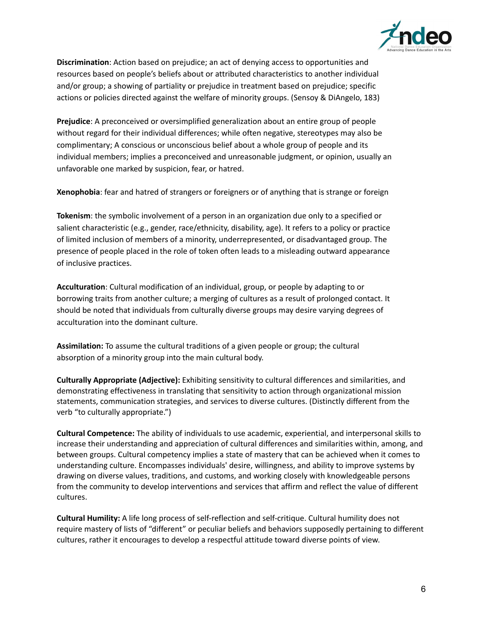

**Discrimination**: Action based on prejudice; an act of denying access to opportunities and resources based on people's beliefs about or attributed characteristics to another individual and/or group; a showing of partiality or prejudice in treatment based on prejudice; specific actions or policies directed against the welfare of minority groups. (Sensoy & DiAngelo, 183)

**Prejudice**: A preconceived or oversimplified generalization about an entire group of people without regard for their individual differences; while often negative, stereotypes may also be complimentary; A conscious or unconscious belief about a whole group of people and its individual members; implies a preconceived and unreasonable judgment, or opinion, usually an unfavorable one marked by suspicion, fear, or hatred.

**Xenophobia**: fear and hatred of strangers or foreigners or of anything that is strange or foreign

**Tokenism**: the symbolic involvement of a person in an organization due only to a specified or salient characteristic (e.g., gender, race/ethnicity, disability, age). It refers to a policy or practice of limited inclusion of members of a minority, underrepresented, or disadvantaged group. The presence of people placed in the role of token often leads to a misleading outward appearance of inclusive practices.

**Acculturation**: Cultural modification of an individual, group, or people by adapting to or borrowing traits from another culture; a merging of cultures as a result of prolonged contact. It should be noted that individuals from culturally diverse groups may desire varying degrees of acculturation into the dominant culture.

**Assimilation:** To assume the cultural traditions of a given people or group; the cultural absorption of a minority group into the main cultural body.

**Culturally Appropriate (Adjective):** Exhibiting sensitivity to cultural differences and similarities, and demonstrating effectiveness in translating that sensitivity to action through organizational mission statements, communication strategies, and services to diverse cultures. (Distinctly different from the verb "to culturally appropriate.")

**Cultural Competence:** The ability of individuals to use academic, experiential, and interpersonal skills to increase their understanding and appreciation of cultural differences and similarities within, among, and between groups. Cultural competency implies a state of mastery that can be achieved when it comes to understanding culture. Encompasses individuals' desire, willingness, and ability to improve systems by drawing on diverse values, traditions, and customs, and working closely with knowledgeable persons from the community to develop interventions and services that affirm and reflect the value of different cultures.

**Cultural Humility:** A life long process of self-reflection and self-critique. Cultural humility does not require mastery of lists of "different" or peculiar beliefs and behaviors supposedly pertaining to different cultures, rather it encourages to develop a respectful attitude toward diverse points of view.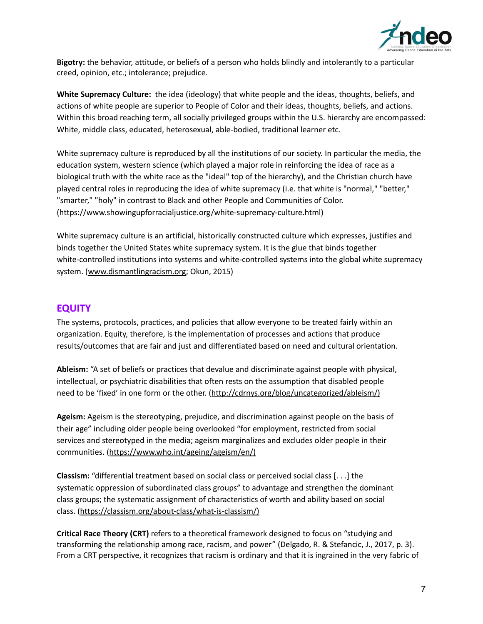

**Bigotry:** the behavior, attitude, or beliefs of a person who holds blindly and intolerantly to a particular creed, opinion, etc.; intolerance; prejudice.

**White Supremacy Culture:** the idea (ideology) that white people and the ideas, thoughts, beliefs, and actions of white people are superior to People of Color and their ideas, thoughts, beliefs, and actions. Within this broad reaching term, all socially privileged groups within the U.S. hierarchy are encompassed: White, middle class, educated, heterosexual, able-bodied, traditional learner etc.

White supremacy culture is reproduced by all the institutions of our society. In particular the media, the education system, western science (which played a major role in reinforcing the idea of race as a biological truth with the white race as the "ideal" top of the hierarchy), and the Christian church have played central roles in reproducing the idea of white supremacy (i.e. that white is "normal," "better," "smarter," "holy" in contrast to Black and other People and Communities of Color. (https://www.showingupforracialjustice.org/white-supremacy-culture.html)

White supremacy culture is an artificial, historically constructed culture which expresses, justifies and binds together the United States white supremacy system. It is the glue that binds together white-controlled institutions into systems and white-controlled systems into the global white supremacy system. ([www.dismantlingracism.org;](http://www.dismantlingracism.org/) Okun, 2015)

#### <span id="page-6-0"></span>**EQUITY**

The systems, protocols, practices, and policies that allow everyone to be treated fairly within an organization. Equity, therefore, is the implementation of processes and actions that produce results/outcomes that are fair and just and differentiated based on need and cultural orientation.

**Ableism:** "A set of beliefs or practices that devalue and discriminate against people with physical, intellectual, or psychiatric disabilities that often rests on the assumption that disabled people need to be 'fixed' in one form or the other. [\(http://cdrnys.org/blog/uncategorized/ableism/\)](http://cdrnys.org/blog/uncategorized/ableism/)

**Ageism:** Ageism is the stereotyping, prejudice, and discrimination against people on the basis of their age" including older people being overlooked "for employment, restricted from social services and stereotyped in the media; ageism marginalizes and excludes older people in their communities. (<https://www.who.int/ageing/ageism/en/>)

**Classism:** "differential treatment based on social class or perceived social class [. . .] the systematic oppression of subordinated class groups" to advantage and strengthen the dominant class groups; the systematic assignment of characteristics of worth and ability based on social class. (<https://classism.org/about-class/what-is-classism/>)

**Critical Race Theory (CRT)** refers to a theoretical framework designed to focus on "studying and transforming the relationship among race, racism, and power" (Delgado, R. & Stefancic, J., 2017, p. 3). From a CRT perspective, it recognizes that racism is ordinary and that it is ingrained in the very fabric of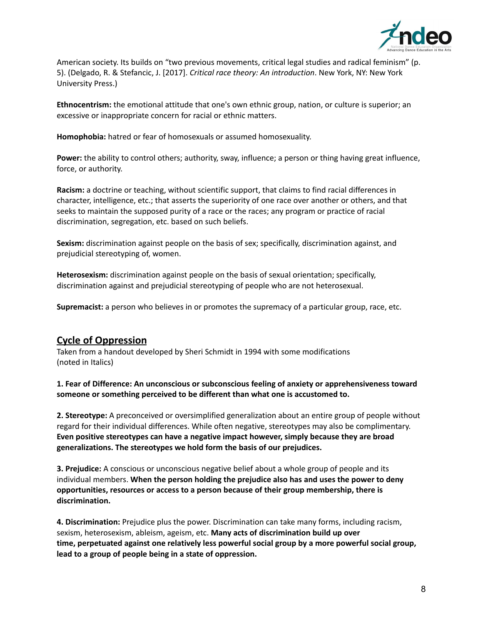

American society. Its builds on "two previous movements, critical legal studies and radical feminism" (p. 5). (Delgado, R. & Stefancic, J. [2017]. *Critical race theory: An introduction*. New York, NY: New York University Press.)

**Ethnocentrism:** the emotional attitude that one's own ethnic group, nation, or culture is superior; an excessive or inappropriate concern for racial or ethnic matters.

**Homophobia:** hatred or fear of homosexuals or assumed homosexuality.

**Power:** the ability to control others; authority, sway, influence; a person or thing having great influence, force, or authority.

**Racism:** a doctrine or teaching, without scientific support, that claims to find racial differences in character, intelligence, etc.; that asserts the superiority of one race over another or others, and that seeks to maintain the supposed purity of a race or the races; any program or practice of racial discrimination, segregation, etc. based on such beliefs.

**Sexism:** discrimination against people on the basis of sex; specifically, discrimination against, and prejudicial stereotyping of, women.

**Heterosexism:** discrimination against people on the basis of sexual orientation; specifically, discrimination against and prejudicial stereotyping of people who are not heterosexual.

**Supremacist:** a person who believes in or promotes the supremacy of a particular group, race, etc.

## <span id="page-7-0"></span>**Cycle of Oppression**

Taken from a handout developed by Sheri Schmidt in 1994 with some modifications (noted in Italics)

**1. Fear of Difference: An unconscious or subconscious feeling of anxiety or apprehensiveness toward someone or something perceived to be different than what one is accustomed to.**

**2. Stereotype:** A preconceived or oversimplified generalization about an entire group of people without regard for their individual differences. While often negative, stereotypes may also be complimentary. **Even positive stereotypes can have a negative impact however, simply because they are broad generalizations. The stereotypes we hold form the basis of our prejudices.**

**3. Prejudice:** A conscious or unconscious negative belief about a whole group of people and its individual members. **When the person holding the prejudice also has and uses the power to deny opportunities, resources or access to a person because of their group membership, there is discrimination.**

**4. Discrimination:** Prejudice plus the power. Discrimination can take many forms, including racism, sexism, heterosexism, ableism, ageism, etc. **Many acts of discrimination build up over time, perpetuated against one relatively less powerful social group by a more powerful social group, lead to a group of people being in a state of oppression.**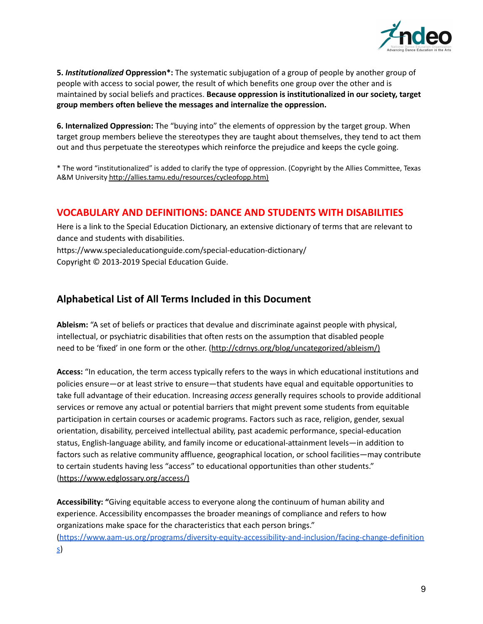

**5.** *Institutionalized* **Oppression\*:** The systematic subjugation of a group of people by another group of people with access to social power, the result of which benefits one group over the other and is maintained by social beliefs and practices. **Because oppression is institutionalized in our society, target group members often believe the messages and internalize the oppression.**

**6. Internalized Oppression:** The "buying into" the elements of oppression by the target group. When target group members believe the stereotypes they are taught about themselves, they tend to act them out and thus perpetuate the stereotypes which reinforce the prejudice and keeps the cycle going.

\* The word "institutionalized" is added to clarify the type of oppression. (Copyright by the Allies Committee, Texas A&M University <http://allies.tamu.edu/resources/cycleofopp.htm>)

#### <span id="page-8-0"></span>**VOCABULARY AND DEFINITIONS: DANCE AND STUDENTS WITH DISABILITIES**

Here is a link to the Special Education Dictionary, an extensive dictionary of terms that are relevant to dance and students with disabilities.

<https://www.specialeducationguide.com/special-education-dictionary/> Copyright © 2013-2019 Special [Education](https://www.specialeducationguide.com/) Guide.

## **Alphabetical List of All Terms Included in this Document**

**Ableism:** "A set of beliefs or practices that devalue and discriminate against people with physical, intellectual, or psychiatric disabilities that often rests on the assumption that disabled people need to be 'fixed' in one form or the other. [\(http://cdrnys.org/blog/uncategorized/ableism/\)](http://cdrnys.org/blog/uncategorized/ableism/)

**Access:** "In education, the term access typically refers to the ways in which educational institutions and policies ensure—or at least strive to ensure—that students have equal and equitable opportunities to take full advantage of their education. Increasing *access* generally requires schools to provide additional services or remove any actual or potential barriers that might prevent some students from equitable participation in certain courses or academic programs. Factors such as race, religion, gender, sexual orientation, disability, perceived intellectual ability, past academic performance, special-education status, English-language ability, and family income or educational-attainment levels—in addition to factors such as relative community affluence, geographical location, or school facilities—may contribute to certain students having less "access" to educational opportunities than other students." [\(https://www.edglossary.org/access/\)](https://www.edglossary.org/access/)

**Accessibility: "**Giving equitable access to everyone along the continuum of human ability and experience. Accessibility encompasses the broader meanings of compliance and refers to how organizations make space for the characteristics that each person brings." [\(https://www.aam-us.org/programs/diversity-equity-accessibility-and-inclusion/facing-change-definition](https://www.aam-us.org/programs/diversity-equity-accessibility-and-inclusion/facing-change-definitions) [s](https://www.aam-us.org/programs/diversity-equity-accessibility-and-inclusion/facing-change-definitions))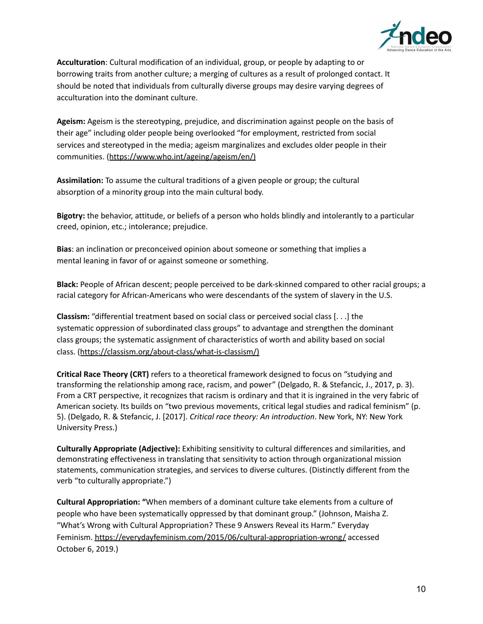

**Acculturation**: Cultural modification of an individual, group, or people by adapting to or borrowing traits from another culture; a merging of cultures as a result of prolonged contact. It should be noted that individuals from culturally diverse groups may desire varying degrees of acculturation into the dominant culture.

**Ageism:** Ageism is the stereotyping, prejudice, and discrimination against people on the basis of their age" including older people being overlooked "for employment, restricted from social services and stereotyped in the media; ageism marginalizes and excludes older people in their communities. (<https://www.who.int/ageing/ageism/en/>)

**Assimilation:** To assume the cultural traditions of a given people or group; the cultural absorption of a minority group into the main cultural body.

**Bigotry:** the behavior, attitude, or beliefs of a person who holds blindly and intolerantly to a particular creed, opinion, etc.; intolerance; prejudice.

**Bias**: an inclination or preconceived opinion about someone or something that implies a mental leaning in favor of or against someone or something.

**Black:** People of African descent; people perceived to be dark-skinned compared to other racial groups; a racial category for African-Americans who were descendants of the system of slavery in the U.S.

**Classism:** "differential treatment based on social class or perceived social class [. . .] the systematic oppression of subordinated class groups" to advantage and strengthen the dominant class groups; the systematic assignment of characteristics of worth and ability based on social class. (<https://classism.org/about-class/what-is-classism/>)

**Critical Race Theory (CRT)** refers to a theoretical framework designed to focus on "studying and transforming the relationship among race, racism, and power" (Delgado, R. & Stefancic, J., 2017, p. 3). From a CRT perspective, it recognizes that racism is ordinary and that it is ingrained in the very fabric of American society. Its builds on "two previous movements, critical legal studies and radical feminism" (p. 5). (Delgado, R. & Stefancic, J. [2017]. *Critical race theory: An introduction*. New York, NY: New York University Press.)

**Culturally Appropriate (Adjective):** Exhibiting sensitivity to cultural differences and similarities, and demonstrating effectiveness in translating that sensitivity to action through organizational mission statements, communication strategies, and services to diverse cultures. (Distinctly different from the verb "to culturally appropriate.")

**Cultural Appropriation: "**When members of a dominant culture take elements from a culture of people who have been systematically oppressed by that dominant group." (Johnson, Maisha Z. "What's Wrong with Cultural Appropriation? These 9 Answers Reveal its Harm." Everyday Feminism. <https://everydayfeminism.com/2015/06/cultural-appropriation-wrong/> accessed October 6, 2019.)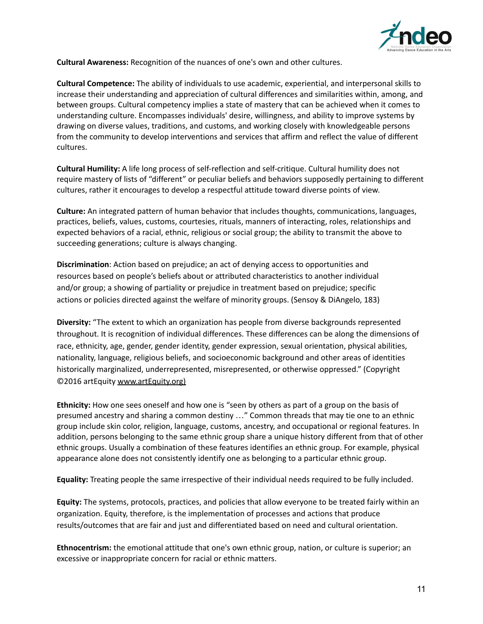

**Cultural Awareness:** Recognition of the nuances of one's own and other cultures.

**Cultural Competence:** The ability of individuals to use academic, experiential, and interpersonal skills to increase their understanding and appreciation of cultural differences and similarities within, among, and between groups. Cultural competency implies a state of mastery that can be achieved when it comes to understanding culture. Encompasses individuals' desire, willingness, and ability to improve systems by drawing on diverse values, traditions, and customs, and working closely with knowledgeable persons from the community to develop interventions and services that affirm and reflect the value of different cultures.

**Cultural Humility:** A life long process of self-reflection and self-critique. Cultural humility does not require mastery of lists of "different" or peculiar beliefs and behaviors supposedly pertaining to different cultures, rather it encourages to develop a respectful attitude toward diverse points of view.

**Culture:** An integrated pattern of human behavior that includes thoughts, communications, languages, practices, beliefs, values, customs, courtesies, rituals, manners of interacting, roles, relationships and expected behaviors of a racial, ethnic, religious or social group; the ability to transmit the above to succeeding generations; culture is always changing.

**Discrimination**: Action based on prejudice; an act of denying access to opportunities and resources based on people's beliefs about or attributed characteristics to another individual and/or group; a showing of partiality or prejudice in treatment based on prejudice; specific actions or policies directed against the welfare of minority groups. (Sensoy & DiAngelo, 183)

**Diversity:** "The extent to which an organization has people from diverse backgrounds represented throughout. It is recognition of individual differences. These differences can be along the dimensions of race, ethnicity, age, gender, gender identity, gender expression, sexual orientation, physical abilities, nationality, language, religious beliefs, and socioeconomic background and other areas of identities historically marginalized, underrepresented, misrepresented, or otherwise oppressed." (Copyright ©2016 artEquity [www.artEquity.org](http://www.artequity.org))

**Ethnicity:** How one sees oneself and how one is "seen by others as part of a group on the basis of presumed ancestry and sharing a common destiny …" Common threads that may tie one to an ethnic group include skin color, religion, language, customs, ancestry, and occupational or regional features. In addition, persons belonging to the same ethnic group share a unique history different from that of other ethnic groups. Usually a combination of these features identifies an ethnic group. For example, physical appearance alone does not consistently identify one as belonging to a particular ethnic group.

**Equality:** Treating people the same irrespective of their individual needs required to be fully included.

**Equity:** The systems, protocols, practices, and policies that allow everyone to be treated fairly within an organization. Equity, therefore, is the implementation of processes and actions that produce results/outcomes that are fair and just and differentiated based on need and cultural orientation.

**Ethnocentrism:** the emotional attitude that one's own ethnic group, nation, or culture is superior; an excessive or inappropriate concern for racial or ethnic matters.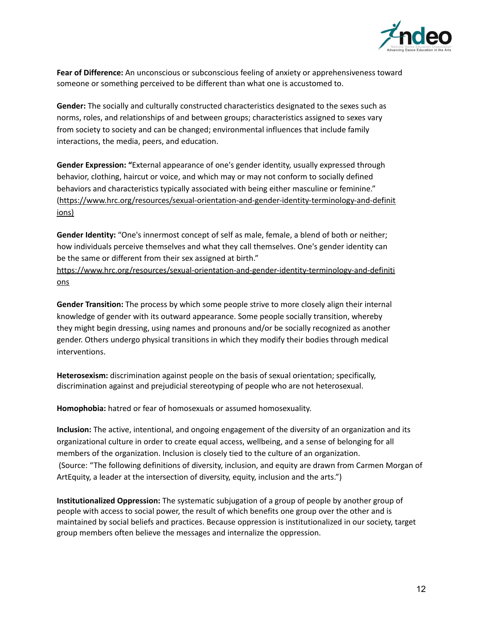

**Fear of Difference:** An unconscious or subconscious feeling of anxiety or apprehensiveness toward someone or something perceived to be different than what one is accustomed to.

**Gender:** The socially and culturally constructed characteristics designated to the sexes such as norms, roles, and relationships of and between groups; characteristics assigned to sexes vary from society to society and can be changed; environmental influences that include family interactions, the media, peers, and education.

**Gender Expression: "**External appearance of one's gender identity, usually expressed through behavior, clothing, haircut or voice, and which may or may not conform to socially defined behaviors and characteristics typically associated with being either masculine or feminine." [\(https://www.hrc.org/resources/sexual-orientation-and-gender-identity-terminology-and-definit](https://www.hrc.org/resources/sexual-orientation-and-gender-identity-terminology-and-definitions) [ions](https://www.hrc.org/resources/sexual-orientation-and-gender-identity-terminology-and-definitions))

**Gender Identity:** "One's innermost concept of self as male, female, a blend of both or neither; how individuals perceive themselves and what they call themselves. One's gender identity can be the same or different from their sex assigned at birth."

[https://www.hrc.org/resources/sexual-orientation-and-gender-identity-terminology-and-definiti](https://www.hrc.org/resources/sexual-orientation-and-gender-identity-terminology-and-definitions) [ons](https://www.hrc.org/resources/sexual-orientation-and-gender-identity-terminology-and-definitions)

**Gender Transition:** The process by which some people strive to more closely align their internal knowledge of gender with its outward appearance. Some people socially transition, whereby they might begin dressing, using names and pronouns and/or be socially recognized as another gender. Others undergo physical transitions in which they modify their bodies through medical interventions.

**Heterosexism:** discrimination against people on the basis of sexual orientation; specifically, discrimination against and prejudicial stereotyping of people who are not heterosexual.

**Homophobia:** hatred or fear of homosexuals or assumed homosexuality.

**Inclusion:** The active, intentional, and ongoing engagement of the diversity of an organization and its organizational culture in order to create equal access, wellbeing, and a sense of belonging for all members of the organization. Inclusion is closely tied to the culture of an organization. (Source: "The following definitions of diversity, inclusion, and equity are drawn from Carmen Morgan of ArtEquity, a leader at the intersection of diversity, equity, inclusion and the arts.")

**Institutionalized Oppression:** The systematic subjugation of a group of people by another group of people with access to social power, the result of which benefits one group over the other and is maintained by social beliefs and practices. Because oppression is institutionalized in our society, target group members often believe the messages and internalize the oppression.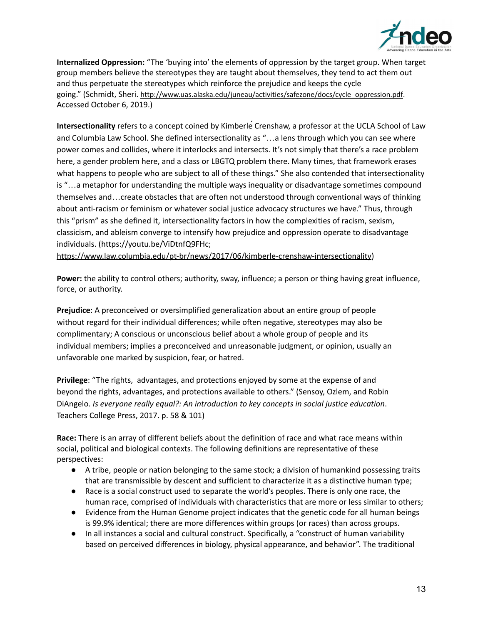

**Internalized Oppression:** "The 'buying into' the elements of oppression by the target group. When target group members believe the stereotypes they are taught about themselves, they tend to act them out and thus perpetuate the stereotypes which reinforce the prejudice and keeps the cycle going." (Schmidt, Sheri. [http://www.uas.alaska.edu/juneau/activities/safezone/docs/cycle\\_oppression.pdf](http://www.uas.alaska.edu/juneau/activities/safezone/docs/cycle_oppression.pdf). Accessed October 6, 2019.)

Intersectionality refers to a concept coined by Kimberle<sup>*Crenshaw*, a professor at the UCLA School of Law</sup> and Columbia Law School. She defined intersectionality as "…a lens through which you can see where power comes and collides, where it interlocks and intersects. It's not simply that there's a race problem here, a gender problem here, and a class or LBGTQ problem there. Many times, that framework erases what happens to people who are subject to all of these things." She also contended that intersectionality is "…a metaphor for understanding the multiple ways inequality or disadvantage sometimes compound themselves and…create obstacles that are often not understood through conventional ways of thinking about anti-racism or feminism or whatever social justice advocacy structures we have." Thus, through this "prism" as she defined it, intersectionality factors in how the complexities of racism, sexism, classicism, and ableism converge to intensify how prejudice and oppression operate to disadvantage individuals. (https://youtu.be/ViDtnfQ9FHc;

<https://www.law.columbia.edu/pt-br/news/2017/06/kimberle-crenshaw-intersectionality>)

**Power:** the ability to control others; authority, sway, influence; a person or thing having great influence, force, or authority.

**Prejudice**: A preconceived or oversimplified generalization about an entire group of people without regard for their individual differences; while often negative, stereotypes may also be complimentary; A conscious or unconscious belief about a whole group of people and its individual members; implies a preconceived and unreasonable judgment, or opinion, usually an unfavorable one marked by suspicion, fear, or hatred.

**Privilege**: "The rights, advantages, and protections enjoyed by some at the expense of and beyond the rights, advantages, and protections available to others." (Sensoy, Ozlem, and Robin DiAngelo. *Is everyone really equal?: An introduction to key concepts in social justice education*. Teachers College Press, 2017. p. 58 & 101)

**Race:** There is an array of different beliefs about the definition of race and what race means within social, political and biological contexts. The following definitions are representative of these perspectives:

- A tribe, people or nation belonging to the same stock; a division of humankind possessing traits that are transmissible by descent and sufficient to characterize it as a distinctive human type;
- Race is a social construct used to separate the world's peoples. There is only one race, the human race, comprised of individuals with characteristics that are more or less similar to others;
- Evidence from the Human Genome project indicates that the genetic code for all human beings is 99.9% identical; there are more differences within groups (or races) than across groups.
- In all instances a social and cultural construct. Specifically, a "construct of human variability based on perceived differences in biology, physical appearance, and behavior". The traditional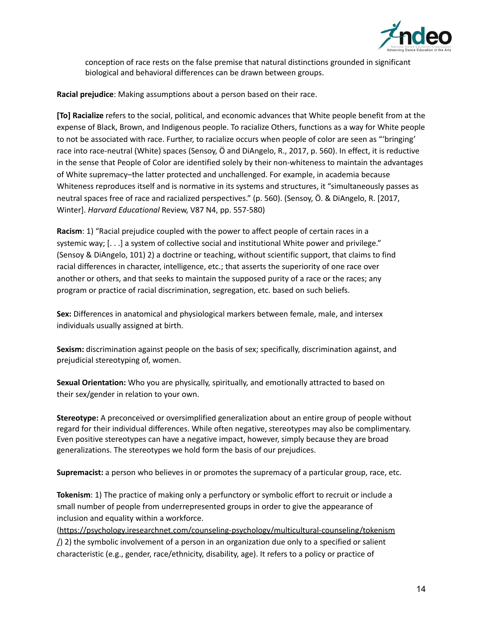

conception of race rests on the false premise that natural distinctions grounded in significant biological and behavioral differences can be drawn between groups.

**Racial prejudice**: Making assumptions about a person based on their race.

**[To] Racialize** refers to the social, political, and economic advances that White people benefit from at the expense of Black, Brown, and Indigenous people. To racialize Others, functions as a way for White people to not be associated with race. Further, to racialize occurs when people of color are seen as "'bringing' race into race-neutral (White) spaces (Sensoy, Ö and DiAngelo, R., 2017, p. 560). In effect, it is reductive in the sense that People of Color are identified solely by their non-whiteness to maintain the advantages of White supremacy–the latter protected and unchallenged. For example, in academia because Whiteness reproduces itself and is normative in its systems and structures, it "simultaneously passes as neutral spaces free of race and racialized perspectives." (p. 560). (Sensoy, Ö. & DiAngelo, R. [2017, Winter]. *Harvard Educational* Review, V87 N4, pp. 557-580)

**Racism**: 1) "Racial prejudice coupled with the power to affect people of certain races in a systemic way; [. . .] a system of collective social and institutional White power and privilege." (Sensoy & DiAngelo, 101) 2) a doctrine or teaching, without scientific support, that claims to find racial differences in character, intelligence, etc.; that asserts the superiority of one race over another or others, and that seeks to maintain the supposed purity of a race or the races; any program or practice of racial discrimination, segregation, etc. based on such beliefs.

**Sex:** Differences in anatomical and physiological markers between female, male, and intersex individuals usually assigned at birth.

**Sexism:** discrimination against people on the basis of sex; specifically, discrimination against, and prejudicial stereotyping of, women.

**Sexual Orientation:** Who you are physically, spiritually, and emotionally attracted to based on their sex/gender in relation to your own.

**Stereotype:** A preconceived or oversimplified generalization about an entire group of people without regard for their individual differences. While often negative, stereotypes may also be complimentary. Even positive stereotypes can have a negative impact, however, simply because they are broad generalizations. The stereotypes we hold form the basis of our prejudices.

**Supremacist:** a person who believes in or promotes the supremacy of a particular group, race, etc.

**Tokenism**: 1) The practice of making only a perfunctory or symbolic effort to recruit or include a small number of people from underrepresented groups in order to give the appearance of inclusion and equality within a workforce.

[\(https://psychology.iresearchnet.com/counseling-psychology/multicultural-counseling/tokenism](https://psychology.iresearchnet.com/counseling-psychology/multicultural-counseling/tokenism/)  $\Delta$ ) 2) the symbolic involvement of a person in an organization due only to a specified or salient characteristic (e.g., gender, race/ethnicity, disability, age). It refers to a policy or practice of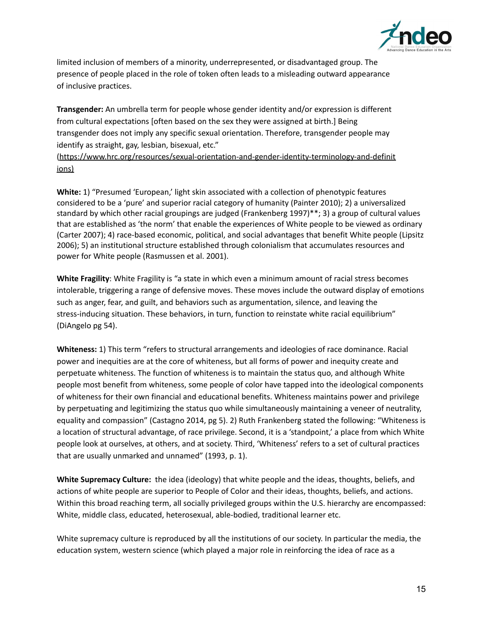

limited inclusion of members of a minority, underrepresented, or disadvantaged group. The presence of people placed in the role of token often leads to a misleading outward appearance of inclusive practices.

**Transgender:** An umbrella term for people whose gender identity and/or expression is different from cultural expectations [often based on the sex they were assigned at birth.] Being transgender does not imply any specific sexual orientation. Therefore, transgender people may identify as straight, gay, lesbian, bisexual, etc."

[\(https://www.hrc.org/resources/sexual-orientation-and-gender-identity-terminology-and-definit](https://www.hrc.org/resources/sexual-orientation-and-gender-identity-terminology-and-definitions) [ions](https://www.hrc.org/resources/sexual-orientation-and-gender-identity-terminology-and-definitions))

**White:** 1) "Presumed 'European,' light skin associated with a collection of phenotypic features considered to be a 'pure' and superior racial category of humanity (Painter 2010); 2) a universalized standard by which other racial groupings are judged (Frankenberg 1997)\*\*; 3) a group of cultural values that are established as 'the norm' that enable the experiences of White people to be viewed as ordinary (Carter 2007); 4) race-based economic, political, and social advantages that benefit White people (Lipsitz 2006); 5) an institutional structure established through colonialism that accumulates resources and power for White people (Rasmussen et al. 2001).

**White Fragility**: White Fragility is "a state in which even a minimum amount of racial stress becomes intolerable, triggering a range of defensive moves. These moves include the outward display of emotions such as anger, fear, and guilt, and behaviors such as argumentation, silence, and leaving the stress-inducing situation. These behaviors, in turn, function to reinstate white racial equilibrium" (DiAngelo pg 54).

**Whiteness:** 1) This term "refers to structural arrangements and ideologies of race dominance. Racial power and inequities are at the core of whiteness, but all forms of power and inequity create and perpetuate whiteness. The function of whiteness is to maintain the status quo, and although White people most benefit from whiteness, some people of color have tapped into the ideological components of whiteness for their own financial and educational benefits. Whiteness maintains power and privilege by perpetuating and legitimizing the status quo while simultaneously maintaining a veneer of neutrality, equality and compassion" (Castagno 2014, pg 5). 2) Ruth Frankenberg stated the following: "Whiteness is a location of structural advantage, of race privilege. Second, it is a 'standpoint,' a place from which White people look at ourselves, at others, and at society. Third, 'Whiteness' refers to a set of cultural practices that are usually unmarked and unnamed" (1993, p. 1).

**White Supremacy Culture:** the idea (ideology) that white people and the ideas, thoughts, beliefs, and actions of white people are superior to People of Color and their ideas, thoughts, beliefs, and actions. Within this broad reaching term, all socially privileged groups within the U.S. hierarchy are encompassed: White, middle class, educated, heterosexual, able-bodied, traditional learner etc.

White supremacy culture is reproduced by all the institutions of our society. In particular the media, the education system, western science (which played a major role in reinforcing the idea of race as a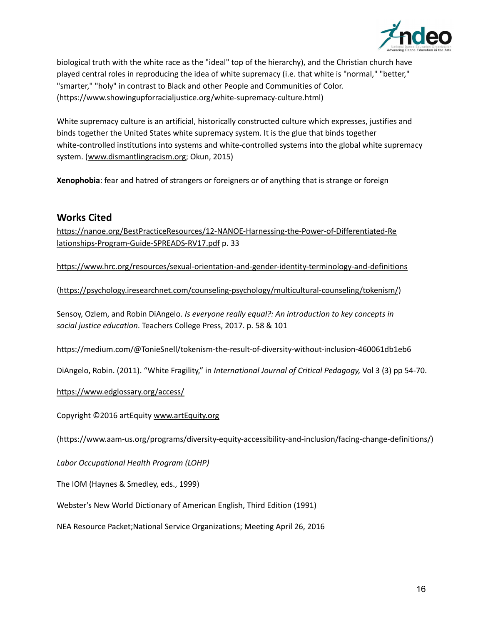

biological truth with the white race as the "ideal" top of the hierarchy), and the Christian church have played central roles in reproducing the idea of white supremacy (i.e. that white is "normal," "better," "smarter," "holy" in contrast to Black and other People and Communities of Color. (https://www.showingupforracialjustice.org/white-supremacy-culture.html)

White supremacy culture is an artificial, historically constructed culture which expresses, justifies and binds together the United States white supremacy system. It is the glue that binds together white-controlled institutions into systems and white-controlled systems into the global white supremacy system. ([www.dismantlingracism.org;](http://www.dismantlingracism.org/) Okun, 2015)

**Xenophobia**: fear and hatred of strangers or foreigners or of anything that is strange or foreign

## **Works Cited**

[https://nanoe.org/BestPracticeResources/12-NANOE-Harnessing-the-Power-of-Differentiated-Re](https://nanoe.org/BestPracticeResources/12-NANOE-Harnessing-the-Power-of-Differentiated-Relationships-Program-Guide-SPREADS-RV17.pdf) [lationships-Program-Guide-SPREADS-RV17.pdf](https://nanoe.org/BestPracticeResources/12-NANOE-Harnessing-the-Power-of-Differentiated-Relationships-Program-Guide-SPREADS-RV17.pdf) p. 33

<https://www.hrc.org/resources/sexual-orientation-and-gender-identity-terminology-and-definitions>

[\(https://psychology.iresearchnet.com/counseling-psychology/multicultural-counseling/tokenism/](https://psychology.iresearchnet.com/counseling-psychology/multicultural-counseling/tokenism/))

Sensoy, Ozlem, and Robin DiAngelo. *Is everyone really equal?: An introduction to key concepts in social justice education*. Teachers College Press, 2017. p. 58 & 101

https://medium.com/@TonieSnell/tokenism-the-result-of-diversity-without-inclusion-460061db1eb6

DiAngelo, Robin. (2011). "White Fragility," in *International Journal of Critical Pedagogy,* Vol 3 (3) pp 54-70.

<https://www.edglossary.org/access/>

Copyright ©2016 artEquity [www.artEquity.org](http://www.artequity.org)

(https://www.aam-us.org/programs/diversity-equity-accessibility-and-inclusion/facing-change-definitions/)

*Labor Occupational Health Program (LOHP)*

The IOM (Haynes & Smedley, eds., 1999)

Webster's New World Dictionary of American English, Third Edition (1991)

NEA Resource Packet;National Service Organizations; Meeting April 26, 2016